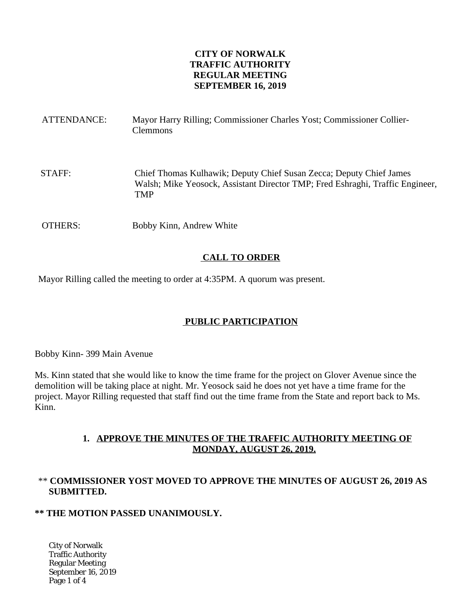### **CITY OF NORWALK TRAFFIC AUTHORITY REGULAR MEETING SEPTEMBER 16, 2019**

| ATTENDANCE: | Mayor Harry Rilling; Commissioner Charles Yost; Commissioner Collier-<br><b>Clemmons</b>                                                                           |
|-------------|--------------------------------------------------------------------------------------------------------------------------------------------------------------------|
| STAFF:      | Chief Thomas Kulhawik; Deputy Chief Susan Zecca; Deputy Chief James<br>Walsh; Mike Yeosock, Assistant Director TMP; Fred Eshraghi, Traffic Engineer,<br><b>TMP</b> |
| OTHERS:     | Bobby Kinn, Andrew White                                                                                                                                           |

# **CALL TO ORDER**

Mayor Rilling called the meeting to order at 4:35PM. A quorum was present.

# **PUBLIC PARTICIPATION**

Bobby Kinn- 399 Main Avenue

Ms. Kinn stated that she would like to know the time frame for the project on Glover Avenue since the demolition will be taking place at night. Mr. Yeosock said he does not yet have a time frame for the project. Mayor Rilling requested that staff find out the time frame from the State and report back to Ms. Kinn.

# **1. APPROVE THE MINUTES OF THE TRAFFIC AUTHORITY MEETING OF MONDAY, AUGUST 26, 2019.**

# \*\* **COMMISSIONER YOST MOVED TO APPROVE THE MINUTES OF AUGUST 26, 2019 AS SUBMITTED.**

### **\*\* THE MOTION PASSED UNANIMOUSLY.**

City of Norwalk Traffic Authority Regular Meeting September 16, 2019 Page 1 of 4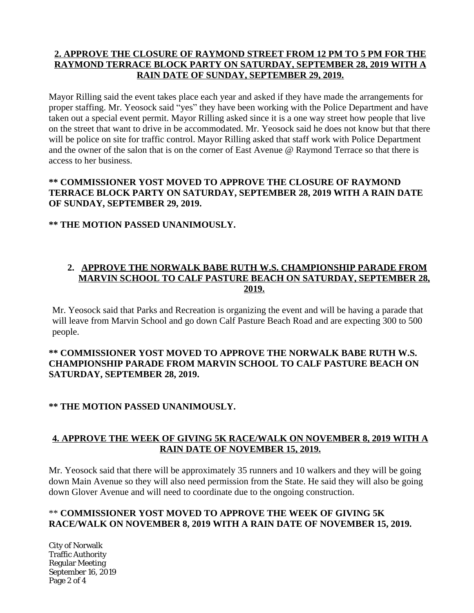# **2. APPROVE THE CLOSURE OF RAYMOND STREET FROM 12 PM TO 5 PM FOR THE RAYMOND TERRACE BLOCK PARTY ON SATURDAY, SEPTEMBER 28, 2019 WITH A RAIN DATE OF SUNDAY, SEPTEMBER 29, 2019.**

Mayor Rilling said the event takes place each year and asked if they have made the arrangements for proper staffing. Mr. Yeosock said "yes" they have been working with the Police Department and have taken out a special event permit. Mayor Rilling asked since it is a one way street how people that live on the street that want to drive in be accommodated. Mr. Yeosock said he does not know but that there will be police on site for traffic control. Mayor Rilling asked that staff work with Police Department and the owner of the salon that is on the corner of East Avenue @ Raymond Terrace so that there is access to her business.

### **\*\* COMMISSIONER YOST MOVED TO APPROVE THE CLOSURE OF RAYMOND TERRACE BLOCK PARTY ON SATURDAY, SEPTEMBER 28, 2019 WITH A RAIN DATE OF SUNDAY, SEPTEMBER 29, 2019.**

# **\*\* THE MOTION PASSED UNANIMOUSLY.**

### **2. APPROVE THE NORWALK BABE RUTH W.S. CHAMPIONSHIP PARADE FROM MARVIN SCHOOL TO CALF PASTURE BEACH ON SATURDAY, SEPTEMBER 28, 2019.**

Mr. Yeosock said that Parks and Recreation is organizing the event and will be having a parade that will leave from Marvin School and go down Calf Pasture Beach Road and are expecting 300 to 500 people.

# **\*\* COMMISSIONER YOST MOVED TO APPROVE THE NORWALK BABE RUTH W.S. CHAMPIONSHIP PARADE FROM MARVIN SCHOOL TO CALF PASTURE BEACH ON SATURDAY, SEPTEMBER 28, 2019.**

### **\*\* THE MOTION PASSED UNANIMOUSLY.**

# **4. APPROVE THE WEEK OF GIVING 5K RACE/WALK ON NOVEMBER 8, 2019 WITH A RAIN DATE OF NOVEMBER 15, 2019.**

Mr. Yeosock said that there will be approximately 35 runners and 10 walkers and they will be going down Main Avenue so they will also need permission from the State. He said they will also be going down Glover Avenue and will need to coordinate due to the ongoing construction.

# \*\* **COMMISSIONER YOST MOVED TO APPROVE THE WEEK OF GIVING 5K RACE/WALK ON NOVEMBER 8, 2019 WITH A RAIN DATE OF NOVEMBER 15, 2019.**

City of Norwalk Traffic Authority Regular Meeting September 16, 2019 Page 2 of 4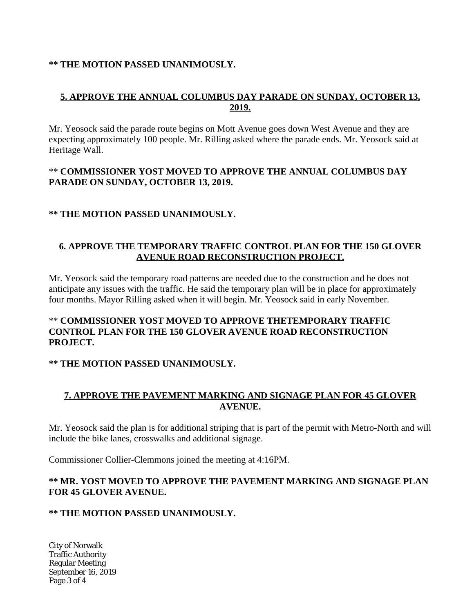#### **\*\* THE MOTION PASSED UNANIMOUSLY.**

### **5. APPROVE THE ANNUAL COLUMBUS DAY PARADE ON SUNDAY, OCTOBER 13, 2019.**

Mr. Yeosock said the parade route begins on Mott Avenue goes down West Avenue and they are expecting approximately 100 people. Mr. Rilling asked where the parade ends. Mr. Yeosock said at Heritage Wall.

#### \*\* **COMMISSIONER YOST MOVED TO APPROVE THE ANNUAL COLUMBUS DAY PARADE ON SUNDAY, OCTOBER 13, 2019.**

#### **\*\* THE MOTION PASSED UNANIMOUSLY.**

# **6. APPROVE THE TEMPORARY TRAFFIC CONTROL PLAN FOR THE 150 GLOVER AVENUE ROAD RECONSTRUCTION PROJECT.**

Mr. Yeosock said the temporary road patterns are needed due to the construction and he does not anticipate any issues with the traffic. He said the temporary plan will be in place for approximately four months. Mayor Rilling asked when it will begin. Mr. Yeosock said in early November.

### \*\* **COMMISSIONER YOST MOVED TO APPROVE THETEMPORARY TRAFFIC CONTROL PLAN FOR THE 150 GLOVER AVENUE ROAD RECONSTRUCTION PROJECT.**

### **\*\* THE MOTION PASSED UNANIMOUSLY.**

# **7. APPROVE THE PAVEMENT MARKING AND SIGNAGE PLAN FOR 45 GLOVER AVENUE.**

Mr. Yeosock said the plan is for additional striping that is part of the permit with Metro-North and will include the bike lanes, crosswalks and additional signage.

Commissioner Collier-Clemmons joined the meeting at 4:16PM.

# **\*\* MR. YOST MOVED TO APPROVE THE PAVEMENT MARKING AND SIGNAGE PLAN FOR 45 GLOVER AVENUE.**

### **\*\* THE MOTION PASSED UNANIMOUSLY.**

City of Norwalk Traffic Authority Regular Meeting September 16, 2019 Page 3 of 4